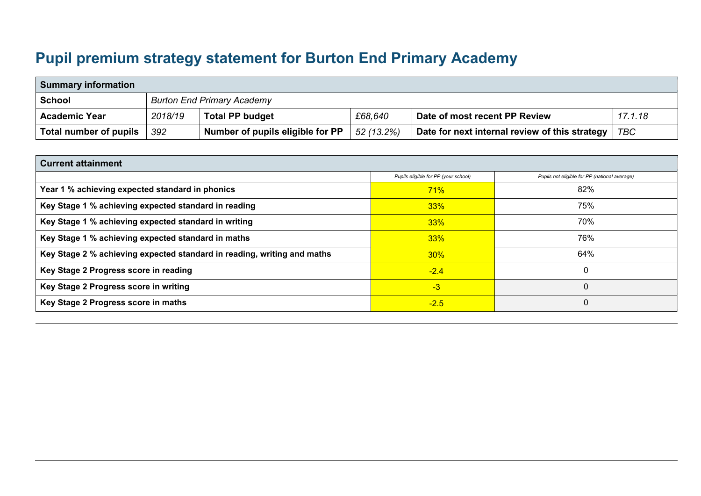## **Pupil premium strategy statement for Burton End Primary Academy**

| <b>Summary information</b> |         |                                   |            |                                                |            |  |  |  |
|----------------------------|---------|-----------------------------------|------------|------------------------------------------------|------------|--|--|--|
| School                     |         | <b>Burton End Primary Academy</b> |            |                                                |            |  |  |  |
| <b>Academic Year</b>       | 2018/19 | <b>Total PP budget</b>            | £68,640    | Date of most recent PP Review                  | 17.1.18    |  |  |  |
| Total number of pupils     | 392     | Number of pupils eligible for PP  | 52 (13.2%) | Date for next internal review of this strategy | <b>TBC</b> |  |  |  |

| <b>Current attainment</b>                                               |                                      |                                               |  |  |  |  |
|-------------------------------------------------------------------------|--------------------------------------|-----------------------------------------------|--|--|--|--|
|                                                                         | Pupils eligible for PP (your school) | Pupils not eligible for PP (national average) |  |  |  |  |
| Year 1 % achieving expected standard in phonics                         | 71%                                  | 82%                                           |  |  |  |  |
| Key Stage 1 % achieving expected standard in reading                    | 33%                                  | 75%                                           |  |  |  |  |
| Key Stage 1 % achieving expected standard in writing                    | 33%                                  | 70%                                           |  |  |  |  |
| Key Stage 1 % achieving expected standard in maths                      | 33%                                  | 76%                                           |  |  |  |  |
| Key Stage 2 % achieving expected standard in reading, writing and maths | 30%                                  | 64%                                           |  |  |  |  |
| Key Stage 2 Progress score in reading                                   | $-2.4$                               |                                               |  |  |  |  |
| Key Stage 2 Progress score in writing                                   | $-3$                                 | 0                                             |  |  |  |  |
| Key Stage 2 Progress score in maths                                     | $-2.5$                               | 0                                             |  |  |  |  |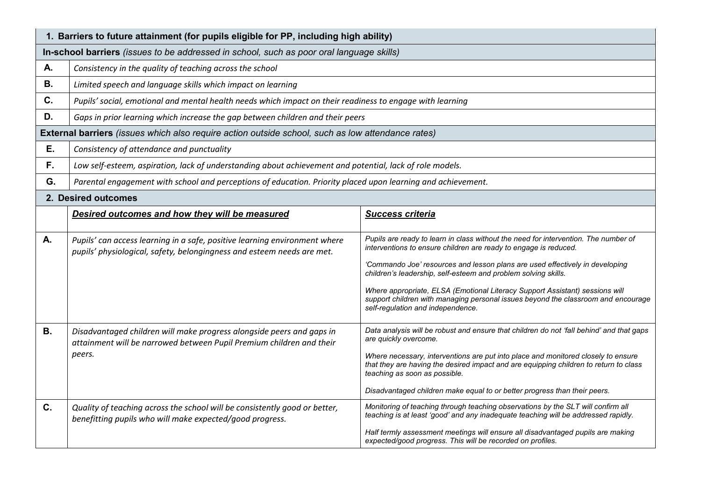|           | 1. Barriers to future attainment (for pupils eligible for PP, including high ability)                                                                   |                                                                                                                                                                                                                                                                                                                                                                                                                                                                                                                     |  |  |  |  |
|-----------|---------------------------------------------------------------------------------------------------------------------------------------------------------|---------------------------------------------------------------------------------------------------------------------------------------------------------------------------------------------------------------------------------------------------------------------------------------------------------------------------------------------------------------------------------------------------------------------------------------------------------------------------------------------------------------------|--|--|--|--|
|           | In-school barriers (issues to be addressed in school, such as poor oral language skills)                                                                |                                                                                                                                                                                                                                                                                                                                                                                                                                                                                                                     |  |  |  |  |
| Α.        | Consistency in the quality of teaching across the school                                                                                                |                                                                                                                                                                                                                                                                                                                                                                                                                                                                                                                     |  |  |  |  |
| <b>B.</b> | Limited speech and language skills which impact on learning                                                                                             |                                                                                                                                                                                                                                                                                                                                                                                                                                                                                                                     |  |  |  |  |
| C.        | Pupils' social, emotional and mental health needs which impact on their readiness to engage with learning                                               |                                                                                                                                                                                                                                                                                                                                                                                                                                                                                                                     |  |  |  |  |
| D.        | Gaps in prior learning which increase the gap between children and their peers                                                                          |                                                                                                                                                                                                                                                                                                                                                                                                                                                                                                                     |  |  |  |  |
|           | <b>External barriers</b> (issues which also require action outside school, such as low attendance rates)                                                |                                                                                                                                                                                                                                                                                                                                                                                                                                                                                                                     |  |  |  |  |
| Ε.        | Consistency of attendance and punctuality                                                                                                               |                                                                                                                                                                                                                                                                                                                                                                                                                                                                                                                     |  |  |  |  |
| F.        | Low self-esteem, aspiration, lack of understanding about achievement and potential, lack of role models.                                                |                                                                                                                                                                                                                                                                                                                                                                                                                                                                                                                     |  |  |  |  |
| G.        | Parental engagement with school and perceptions of education. Priority placed upon learning and achievement.                                            |                                                                                                                                                                                                                                                                                                                                                                                                                                                                                                                     |  |  |  |  |
|           | 2. Desired outcomes                                                                                                                                     |                                                                                                                                                                                                                                                                                                                                                                                                                                                                                                                     |  |  |  |  |
|           | Desired outcomes and how they will be measured                                                                                                          | <b>Success criteria</b>                                                                                                                                                                                                                                                                                                                                                                                                                                                                                             |  |  |  |  |
| А.        | Pupils' can access learning in a safe, positive learning environment where<br>pupils' physiological, safety, belongingness and esteem needs are met.    | Pupils are ready to learn in class without the need for intervention. The number of<br>interventions to ensure children are ready to engage is reduced.<br>'Commando Joe' resources and lesson plans are used effectively in developing<br>children's leadership, self-esteem and problem solving skills.<br>Where appropriate, ELSA (Emotional Literacy Support Assistant) sessions will<br>support children with managing personal issues beyond the classroom and encourage<br>self-regulation and independence. |  |  |  |  |
| <b>B.</b> | Disadvantaged children will make progress alongside peers and gaps in<br>attainment will be narrowed between Pupil Premium children and their<br>peers. | Data analysis will be robust and ensure that children do not 'fall behind' and that gaps<br>are quickly overcome.<br>Where necessary, interventions are put into place and monitored closely to ensure<br>that they are having the desired impact and are equipping children to return to class<br>teaching as soon as possible.<br>Disadvantaged children make equal to or better progress than their peers.                                                                                                       |  |  |  |  |
| $C_{1}$   | Quality of teaching across the school will be consistently good or better,<br>benefitting pupils who will make expected/good progress.                  | Monitoring of teaching through teaching observations by the SLT will confirm all<br>teaching is at least 'good' and any inadequate teaching will be addressed rapidly.<br>Half termly assessment meetings will ensure all disadvantaged pupils are making<br>expected/good progress. This will be recorded on profiles.                                                                                                                                                                                             |  |  |  |  |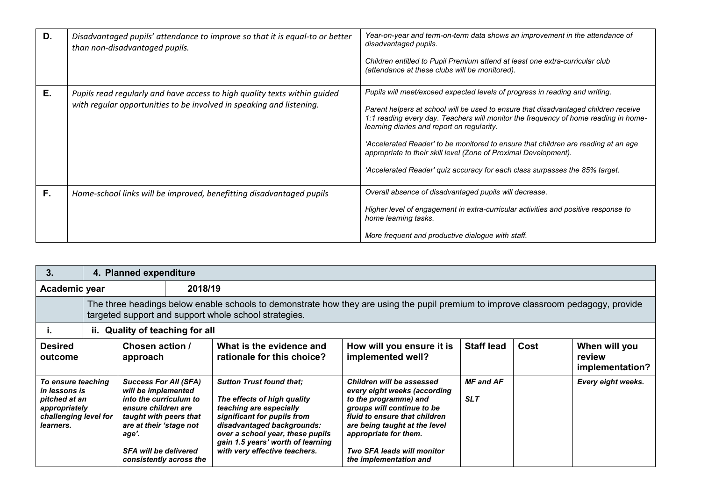| D. | Disadvantaged pupils' attendance to improve so that it is equal-to or better<br>than non-disadvantaged pupils.                                    | Year-on-year and term-on-term data shows an improvement in the attendance of<br>disadvantaged pupils.<br>Children entitled to Pupil Premium attend at least one extra-curricular club<br>(attendance at these clubs will be monitored).                                                                                                                                                                                                                                                                                                          |
|----|---------------------------------------------------------------------------------------------------------------------------------------------------|--------------------------------------------------------------------------------------------------------------------------------------------------------------------------------------------------------------------------------------------------------------------------------------------------------------------------------------------------------------------------------------------------------------------------------------------------------------------------------------------------------------------------------------------------|
| E. | Pupils read regularly and have access to high quality texts within guided<br>with regular opportunities to be involved in speaking and listening. | Pupils will meet/exceed expected levels of progress in reading and writing.<br>Parent helpers at school will be used to ensure that disadvantaged children receive<br>1:1 reading every day. Teachers will monitor the frequency of home reading in home-<br>learning diaries and report on regularity.<br>'Accelerated Reader' to be monitored to ensure that children are reading at an age<br>appropriate to their skill level (Zone of Proximal Development).<br>'Accelerated Reader' quiz accuracy for each class surpasses the 85% target. |
| F. | Home-school links will be improved, benefitting disadvantaged pupils                                                                              | Overall absence of disadvantaged pupils will decrease.<br>Higher level of engagement in extra-curricular activities and positive response to<br>home learning tasks.<br>More frequent and productive dialogue with staff.                                                                                                                                                                                                                                                                                                                        |

| 3.                                                                                                          |                                                                                                                                                                                             | 4. Planned expenditure                                                                                                                                                                                                        |  |                                                                                                                                                                                                                                                                  |                                                                                                                                                                                                                                                                     |                                |      |                                            |
|-------------------------------------------------------------------------------------------------------------|---------------------------------------------------------------------------------------------------------------------------------------------------------------------------------------------|-------------------------------------------------------------------------------------------------------------------------------------------------------------------------------------------------------------------------------|--|------------------------------------------------------------------------------------------------------------------------------------------------------------------------------------------------------------------------------------------------------------------|---------------------------------------------------------------------------------------------------------------------------------------------------------------------------------------------------------------------------------------------------------------------|--------------------------------|------|--------------------------------------------|
| Academic year                                                                                               |                                                                                                                                                                                             | 2018/19                                                                                                                                                                                                                       |  |                                                                                                                                                                                                                                                                  |                                                                                                                                                                                                                                                                     |                                |      |                                            |
|                                                                                                             | The three headings below enable schools to demonstrate how they are using the pupil premium to improve classroom pedagogy, provide<br>targeted support and support whole school strategies. |                                                                                                                                                                                                                               |  |                                                                                                                                                                                                                                                                  |                                                                                                                                                                                                                                                                     |                                |      |                                            |
| л.                                                                                                          |                                                                                                                                                                                             | ii. Quality of teaching for all                                                                                                                                                                                               |  |                                                                                                                                                                                                                                                                  |                                                                                                                                                                                                                                                                     |                                |      |                                            |
| <b>Desired</b><br>outcome                                                                                   |                                                                                                                                                                                             | Chosen action /<br>approach                                                                                                                                                                                                   |  | What is the evidence and<br>rationale for this choice?                                                                                                                                                                                                           | How will you ensure it is<br>implemented well?                                                                                                                                                                                                                      | <b>Staff lead</b>              | Cost | When will you<br>review<br>implementation? |
| To ensure teaching<br>in lessons is<br>pitched at an<br>appropriately<br>challenging level for<br>learners. |                                                                                                                                                                                             | <b>Success For All (SFA)</b><br>will be implemented<br>into the curriculum to<br>ensure children are<br>taught with peers that<br>are at their 'stage not<br>age'.<br><b>SFA will be delivered</b><br>consistently across the |  | <b>Sutton Trust found that:</b><br>The effects of high quality<br>teaching are especially<br>significant for pupils from<br>disadvantaged backgrounds:<br>over a school year, these pupils<br>gain 1.5 years' worth of learning<br>with very effective teachers. | Children will be assessed<br>every eight weeks (according<br>to the programme) and<br>groups will continue to be<br>fluid to ensure that children<br>are being taught at the level<br>appropriate for them.<br>Two SFA leads will monitor<br>the implementation and | <b>MF</b> and AF<br><b>SLT</b> |      | Every eight weeks.                         |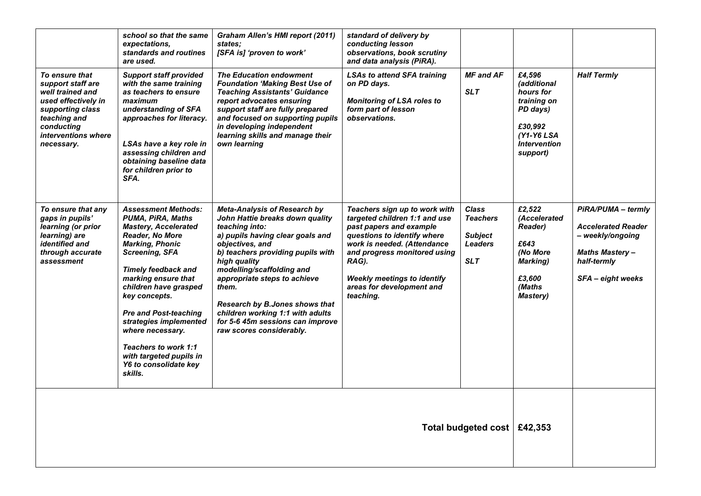|                                                                                                                                                                       | school so that the same<br>expectations.<br>standards and routines<br>are used.                                                                                                                                                                                                                                                                                                                                                 | Graham Allen's HMI report (2011)<br>states:<br>[SFA is] 'proven to work'                                                                                                                                                                                                                                                                                                                                         | standard of delivery by<br>conducting lesson<br>observations, book scrutiny<br>and data analysis (PiRA).                                                                                                                                                                         |                                                                                   |                                                                                                                             |                                                                                                                                  |
|-----------------------------------------------------------------------------------------------------------------------------------------------------------------------|---------------------------------------------------------------------------------------------------------------------------------------------------------------------------------------------------------------------------------------------------------------------------------------------------------------------------------------------------------------------------------------------------------------------------------|------------------------------------------------------------------------------------------------------------------------------------------------------------------------------------------------------------------------------------------------------------------------------------------------------------------------------------------------------------------------------------------------------------------|----------------------------------------------------------------------------------------------------------------------------------------------------------------------------------------------------------------------------------------------------------------------------------|-----------------------------------------------------------------------------------|-----------------------------------------------------------------------------------------------------------------------------|----------------------------------------------------------------------------------------------------------------------------------|
| To ensure that<br>support staff are<br>well trained and<br>used effectively in<br>supporting class<br>teaching and<br>conducting<br>interventions where<br>necessary. | <b>Support staff provided</b><br>with the same training<br>as teachers to ensure<br>maximum<br>understanding of SFA<br>approaches for literacy.<br>LSAs have a key role in<br>assessing children and<br>obtaining baseline data<br>for children prior to<br>SFA.                                                                                                                                                                | <b>The Education endowment</b><br><b>Foundation 'Making Best Use of</b><br><b>Teaching Assistants' Guidance</b><br>report advocates ensuring<br>support staff are fully prepared<br>and focused on supporting pupils<br>in developing independent<br>learning skills and manage their<br>own learning                                                                                                            | <b>LSAs to attend SFA training</b><br>on PD days.<br><b>Monitoring of LSA roles to</b><br>form part of lesson<br>observations.                                                                                                                                                   | <b>MF</b> and AF<br><b>SLT</b>                                                    | £4,596<br>(additional<br>hours for<br>training on<br>PD days)<br>£30,992<br>$(Y1-Y6LSA)$<br><b>Intervention</b><br>support) | <b>Half Termly</b>                                                                                                               |
| To ensure that any<br>gaps in pupils'<br>learning (or prior<br>learning) are<br>identified and<br>through accurate<br>assessment                                      | <b>Assessment Methods:</b><br><b>PUMA, PIRA, Maths</b><br><b>Mastery, Accelerated</b><br>Reader, No More<br><b>Marking, Phonic</b><br><b>Screening, SFA</b><br><b>Timely feedback and</b><br>marking ensure that<br>children have grasped<br>key concepts.<br><b>Pre and Post-teaching</b><br>strategies implemented<br>where necessary.<br>Teachers to work 1:1<br>with targeted pupils in<br>Y6 to consolidate key<br>skills. | <b>Meta-Analysis of Research by</b><br>John Hattie breaks down quality<br>teaching into:<br>a) pupils having clear goals and<br>objectives, and<br>b) teachers providing pupils with<br>high quality<br>modelling/scaffolding and<br>appropriate steps to achieve<br>them.<br>Research by B.Jones shows that<br>children working 1:1 with adults<br>for 5-6 45m sessions can improve<br>raw scores considerably. | Teachers sign up to work with<br>targeted children 1:1 and use<br>past papers and example<br>questions to identify where<br>work is needed. (Attendance<br>and progress monitored using<br>RAG).<br><b>Weekly meetings to identify</b><br>areas for development and<br>teaching. | <b>Class</b><br><b>Teachers</b><br><b>Subject</b><br><b>Leaders</b><br><b>SLT</b> | £2,522<br>(Accelerated<br><b>Reader)</b><br>£643<br>(No More<br><b>Marking</b> )<br>£3,600<br>(Maths<br><b>Mastery</b> )    | PiRA/PUMA - termly<br><b>Accelerated Reader</b><br>- weekly/ongoing<br><b>Maths Mastery-</b><br>half-termly<br>SFA - eight weeks |
|                                                                                                                                                                       | Total budgeted cost   £42,353                                                                                                                                                                                                                                                                                                                                                                                                   |                                                                                                                                                                                                                                                                                                                                                                                                                  |                                                                                                                                                                                                                                                                                  |                                                                                   |                                                                                                                             |                                                                                                                                  |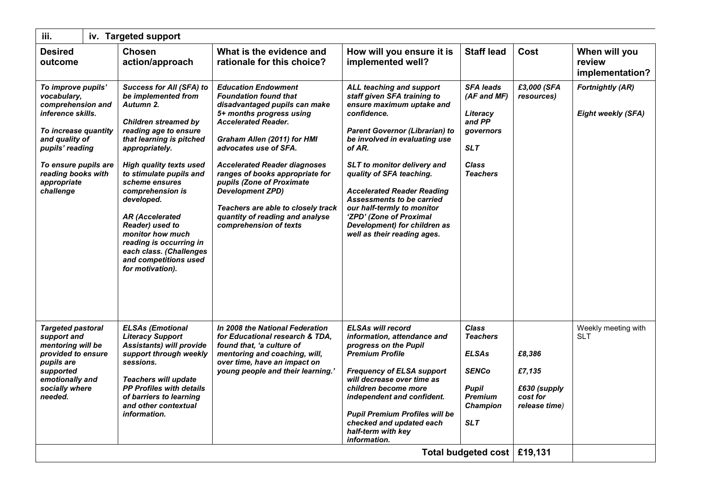| iii.                                                                                                                                                                                                               |  | iv. Targeted support                                                                                                                                                                                                                                                                                                                                                                                                                                           |                                                                                                                                                                                                                                                                                                                                                                                                                                                    |                                                                                                                                                                                                                                                                                                                                                                                                                                              |                                                                                                                                    |                                                               |                                                      |
|--------------------------------------------------------------------------------------------------------------------------------------------------------------------------------------------------------------------|--|----------------------------------------------------------------------------------------------------------------------------------------------------------------------------------------------------------------------------------------------------------------------------------------------------------------------------------------------------------------------------------------------------------------------------------------------------------------|----------------------------------------------------------------------------------------------------------------------------------------------------------------------------------------------------------------------------------------------------------------------------------------------------------------------------------------------------------------------------------------------------------------------------------------------------|----------------------------------------------------------------------------------------------------------------------------------------------------------------------------------------------------------------------------------------------------------------------------------------------------------------------------------------------------------------------------------------------------------------------------------------------|------------------------------------------------------------------------------------------------------------------------------------|---------------------------------------------------------------|------------------------------------------------------|
| <b>Desired</b><br>outcome                                                                                                                                                                                          |  | <b>Chosen</b><br>action/approach                                                                                                                                                                                                                                                                                                                                                                                                                               | What is the evidence and<br>rationale for this choice?                                                                                                                                                                                                                                                                                                                                                                                             | How will you ensure it is<br>implemented well?                                                                                                                                                                                                                                                                                                                                                                                               | <b>Staff lead</b>                                                                                                                  | Cost                                                          | When will you<br>review<br>implementation?           |
| To improve pupils'<br>vocabulary,<br>comprehension and<br>inference skills.<br>To increase quantity<br>and quality of<br>pupils' reading<br>To ensure pupils are<br>reading books with<br>appropriate<br>challenge |  | <b>Success for All (SFA) to</b><br>be implemented from<br>Autumn 2.<br><b>Children streamed by</b><br>reading age to ensure<br>that learning is pitched<br>appropriately.<br><b>High quality texts used</b><br>to stimulate pupils and<br>scheme ensures<br>comprehension is<br>developed.<br><b>AR (Accelerated</b><br>Reader) used to<br>monitor how much<br>reading is occurring in<br>each class. (Challenges<br>and competitions used<br>for motivation). | <b>Education Endowment</b><br><b>Foundation found that</b><br>disadvantaged pupils can make<br>5+ months progress using<br><b>Accelerated Reader.</b><br>Graham Allen (2011) for HMI<br>advocates use of SFA.<br><b>Accelerated Reader diagnoses</b><br>ranges of books appropriate for<br>pupils (Zone of Proximate<br><b>Development ZPD)</b><br>Teachers are able to closely track<br>quantity of reading and analyse<br>comprehension of texts | ALL teaching and support<br>staff given SFA training to<br>ensure maximum uptake and<br>confidence.<br><b>Parent Governor (Librarian) to</b><br>be involved in evaluating use<br>of AR.<br>SLT to monitor delivery and<br>quality of SFA teaching.<br><b>Accelerated Reader Reading</b><br>Assessments to be carried<br>our half-termly to monitor<br>'ZPD' (Zone of Proximal<br>Development) for children as<br>well as their reading ages. | <b>SFA leads</b><br>(AF and MF)<br>Literacy<br>and PP<br>governors<br><b>SLT</b><br><b>Class</b><br><b>Teachers</b>                | £3,000 (SFA<br>resources)                                     | <b>Fortnightly (AR)</b><br><b>Eight weekly (SFA)</b> |
| <b>Targeted pastoral</b><br>support and<br>mentoring will be<br>provided to ensure<br>pupils are<br>supported<br>emotionally and<br>socially where<br>needed.                                                      |  | <b>ELSAs (Emotional</b><br><b>Literacy Support</b><br>Assistants) will provide<br>support through weekly<br>sessions.<br><b>Teachers will update</b><br><b>PP Profiles with details</b><br>of barriers to learning<br>and other contextual<br>information.                                                                                                                                                                                                     | In 2008 the National Federation<br>for Educational research & TDA,<br>found that, 'a culture of<br>mentoring and coaching, will,<br>over time, have an impact on<br>young people and their learning.'                                                                                                                                                                                                                                              | <b>ELSAs will record</b><br>information, attendance and<br>progress on the Pupil<br><b>Premium Profile</b><br><b>Frequency of ELSA support</b><br>will decrease over time as<br>children become more<br>independent and confident.<br><b>Pupil Premium Profiles will be</b><br>checked and updated each<br>half-term with key<br>information.                                                                                                | <b>Class</b><br><b>Teachers</b><br><b>ELSAs</b><br><b>SENCo</b><br><b>Pupil</b><br><b>Premium</b><br><b>Champion</b><br><b>SLT</b> | £8,386<br>£7,135<br>£630 (supply<br>cost for<br>release time) | Weekly meeting with<br><b>SLT</b>                    |
| Total budgeted cost   £19,131                                                                                                                                                                                      |  |                                                                                                                                                                                                                                                                                                                                                                                                                                                                |                                                                                                                                                                                                                                                                                                                                                                                                                                                    |                                                                                                                                                                                                                                                                                                                                                                                                                                              |                                                                                                                                    |                                                               |                                                      |